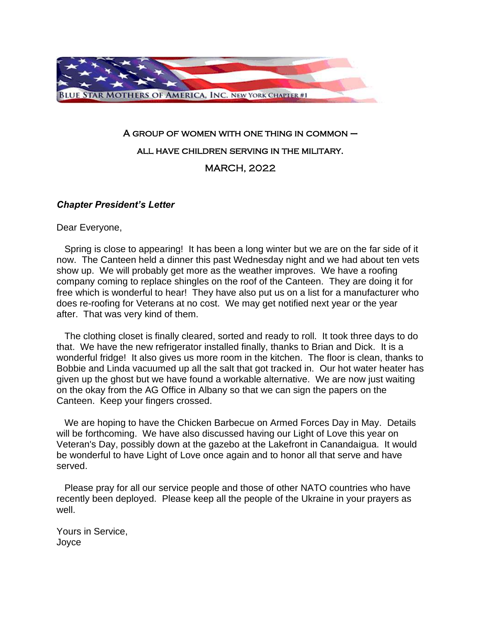

## A group of women with one thing in common – all have children serving in the military. MARCH, 2022

## *Chapter President's Letter*

Dear Everyone,

 Spring is close to appearing! It has been a long winter but we are on the far side of it now. The Canteen held a dinner this past Wednesday night and we had about ten vets show up. We will probably get more as the weather improves. We have a roofing company coming to replace shingles on the roof of the Canteen. They are doing it for free which is wonderful to hear! They have also put us on a list for a manufacturer who does re-roofing for Veterans at no cost. We may get notified next year or the year after. That was very kind of them.

 The clothing closet is finally cleared, sorted and ready to roll. It took three days to do that. We have the new refrigerator installed finally, thanks to Brian and Dick. It is a wonderful fridge! It also gives us more room in the kitchen. The floor is clean, thanks to Bobbie and Linda vacuumed up all the salt that got tracked in. Our hot water heater has given up the ghost but we have found a workable alternative. We are now just waiting on the okay from the AG Office in Albany so that we can sign the papers on the Canteen. Keep your fingers crossed.

 We are hoping to have the Chicken Barbecue on Armed Forces Day in May. Details will be forthcoming. We have also discussed having our Light of Love this year on Veteran's Day, possibly down at the gazebo at the Lakefront in Canandaigua. It would be wonderful to have Light of Love once again and to honor all that serve and have served.

 Please pray for all our service people and those of other NATO countries who have recently been deployed. Please keep all the people of the Ukraine in your prayers as well.

Yours in Service, Joyce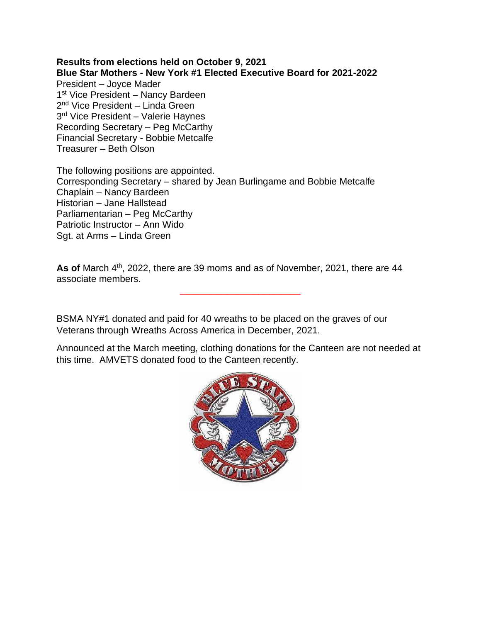**Results from elections held on October 9, 2021 Blue Star Mothers - New York #1 Elected Executive Board for 2021-2022** President – Joyce Mader 1<sup>st</sup> Vice President - Nancy Bardeen 2<sup>nd</sup> Vice President – Linda Green 3 rd Vice President – Valerie Haynes Recording Secretary – Peg McCarthy Financial Secretary - Bobbie Metcalfe Treasurer – Beth Olson

The following positions are appointed. Corresponding Secretary – shared by Jean Burlingame and Bobbie Metcalfe Chaplain – Nancy Bardeen Historian – Jane Hallstead Parliamentarian – Peg McCarthy Patriotic Instructor – Ann Wido Sgt. at Arms – Linda Green

As of March 4<sup>th</sup>, 2022, there are 39 moms and as of November, 2021, there are 44 associate members.

\_\_\_\_\_\_\_\_\_\_\_\_\_\_\_\_\_\_\_\_\_\_\_

BSMA NY#1 donated and paid for 40 wreaths to be placed on the graves of our Veterans through Wreaths Across America in December, 2021.

Announced at the March meeting, clothing donations for the Canteen are not needed at this time. AMVETS donated food to the Canteen recently.

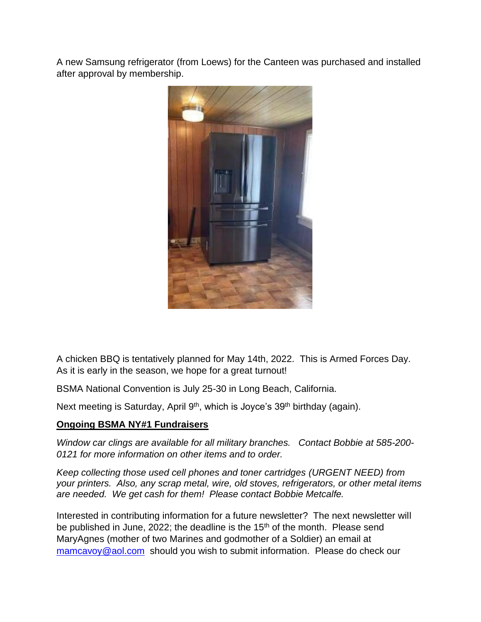A new Samsung refrigerator (from Loews) for the Canteen was purchased and installed after approval by membership.



A chicken BBQ is tentatively planned for May 14th, 2022. This is Armed Forces Day. As it is early in the season, we hope for a great turnout!

BSMA National Convention is July 25-30 in Long Beach, California.

Next meeting is Saturday, April 9<sup>th</sup>, which is Joyce's 39<sup>th</sup> birthday (again).

## **Ongoing BSMA NY#1 Fundraisers**

*Window car clings are available for all military branches. Contact Bobbie at 585-200- 0121 for more information on other items and to order.* 

*Keep collecting those used cell phones and toner cartridges (URGENT NEED) from your printers. Also, any scrap metal, wire, old stoves, refrigerators, or other metal items are needed. We get cash for them! Please contact Bobbie Metcalfe.* 

Interested in contributing information for a future newsletter? The next newsletter will be published in June, 2022; the deadline is the  $15<sup>th</sup>$  of the month. Please send MaryAgnes (mother of two Marines and godmother of a Soldier) an email at [mamcavoy@aol.com](mailto:mamcavoy@aol.com) should you wish to submit information. Please do check our